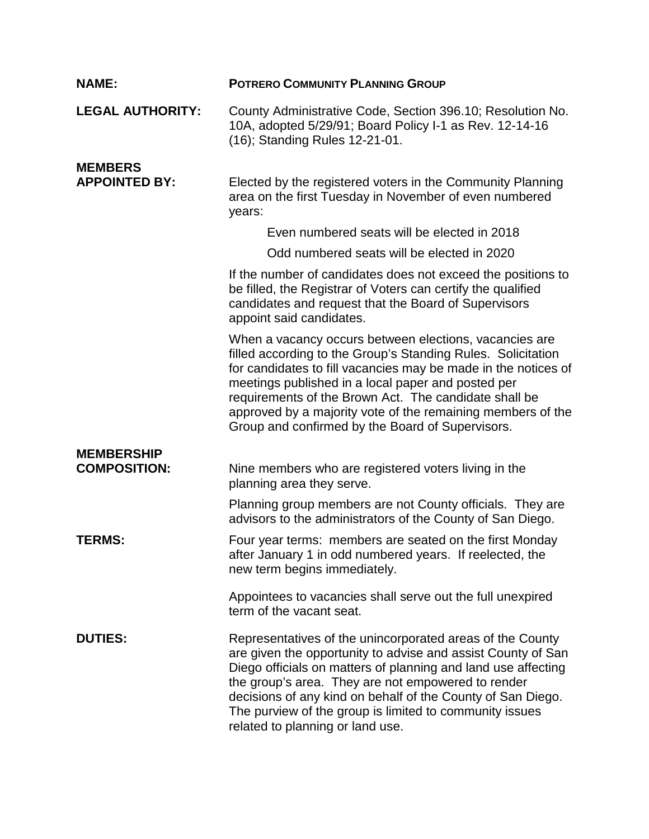| <b>NAME:</b>                           | <b>POTRERO COMMUNITY PLANNING GROUP</b>                                                                                                                                                                                                                                                                                                                                                                                    |
|----------------------------------------|----------------------------------------------------------------------------------------------------------------------------------------------------------------------------------------------------------------------------------------------------------------------------------------------------------------------------------------------------------------------------------------------------------------------------|
| <b>LEGAL AUTHORITY:</b>                | County Administrative Code, Section 396.10; Resolution No.<br>10A, adopted 5/29/91; Board Policy I-1 as Rev. 12-14-16<br>(16); Standing Rules 12-21-01.                                                                                                                                                                                                                                                                    |
| <b>MEMBERS</b><br><b>APPOINTED BY:</b> | Elected by the registered voters in the Community Planning<br>area on the first Tuesday in November of even numbered<br>years:                                                                                                                                                                                                                                                                                             |
|                                        | Even numbered seats will be elected in 2018                                                                                                                                                                                                                                                                                                                                                                                |
|                                        | Odd numbered seats will be elected in 2020                                                                                                                                                                                                                                                                                                                                                                                 |
|                                        | If the number of candidates does not exceed the positions to<br>be filled, the Registrar of Voters can certify the qualified<br>candidates and request that the Board of Supervisors<br>appoint said candidates.                                                                                                                                                                                                           |
|                                        | When a vacancy occurs between elections, vacancies are<br>filled according to the Group's Standing Rules. Solicitation<br>for candidates to fill vacancies may be made in the notices of<br>meetings published in a local paper and posted per<br>requirements of the Brown Act. The candidate shall be<br>approved by a majority vote of the remaining members of the<br>Group and confirmed by the Board of Supervisors. |
| <b>MEMBERSHIP</b>                      |                                                                                                                                                                                                                                                                                                                                                                                                                            |
| <b>COMPOSITION:</b>                    | Nine members who are registered voters living in the<br>planning area they serve.                                                                                                                                                                                                                                                                                                                                          |
|                                        | Planning group members are not County officials. They are<br>advisors to the administrators of the County of San Diego.                                                                                                                                                                                                                                                                                                    |
| <b>TERMS:</b>                          | Four year terms: members are seated on the first Monday<br>after January 1 in odd numbered years. If reelected, the<br>new term begins immediately.                                                                                                                                                                                                                                                                        |
|                                        | Appointees to vacancies shall serve out the full unexpired<br>term of the vacant seat.                                                                                                                                                                                                                                                                                                                                     |
| <b>DUTIES:</b>                         | Representatives of the unincorporated areas of the County<br>are given the opportunity to advise and assist County of San<br>Diego officials on matters of planning and land use affecting<br>the group's area. They are not empowered to render<br>decisions of any kind on behalf of the County of San Diego.<br>The purview of the group is limited to community issues<br>related to planning or land use.             |